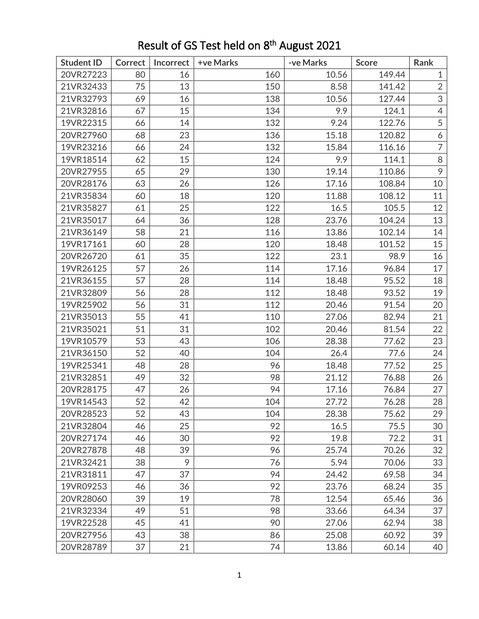| <b>Student ID</b> | <b>Correct</b> | Incorrect | +ve Marks | -ve Marks | <b>Score</b> | Rank           |
|-------------------|----------------|-----------|-----------|-----------|--------------|----------------|
| 20VR27223         | 80             | 16        | 160       | 10.56     | 149.44       | $\mathbf{1}$   |
| 21VR32433         | 75             | 13        | 150       | 8.58      | 141.42       | $\overline{2}$ |
| 21VR32793         | 69             | 16        | 138       | 10.56     | 127.44       | 3              |
| 21VR32816         | 67             | 15        | 134       | 9.9       | 124.1        | $\overline{4}$ |
| 19VR22315         | 66             | 14        | 132       | 9.24      | 122.76       | 5              |
| 20VR27960         | 68             | 23        | 136       | 15.18     | 120.82       | 6              |
| 19VR23216         | 66             | 24        | 132       | 15.84     | 116.16       | $\overline{7}$ |
| 19VR18514         | 62             | 15        | 124       | 9.9       | 114.1        | 8              |
| 20VR27955         | 65             | 29        | 130       | 19.14     | 110.86       | 9              |
| 20VR28176         | 63             | 26        | 126       | 17.16     | 108.84       | 10             |
| 21VR35834         | 60             | 18        | 120       | 11.88     | 108.12       | 11             |
| 21VR35827         | 61             | 25        | 122       | 16.5      | 105.5        | 12             |
| 21VR35017         | 64             | 36        | 128       | 23.76     | 104.24       | 13             |
| 21VR36149         | 58             | 21        | 116       | 13.86     | 102.14       | 14             |
| 19VR17161         | 60             | 28        | 120       | 18.48     | 101.52       | 15             |
| 20VR26720         | 61             | 35        | 122       | 23.1      | 98.9         | 16             |
| 19VR26125         | 57             | 26        | 114       | 17.16     | 96.84        | 17             |
| 21VR36155         | 57             | 28        | 114       | 18.48     | 95.52        | 18             |
| 21VR32809         | 56             | 28        | 112       | 18.48     | 93.52        | 19             |
| 19VR25902         | 56             | 31        | 112       | 20.46     | 91.54        | 20             |
| 21VR35013         | 55             | 41        | 110       | 27.06     | 82.94        | 21             |
| 21VR35021         | 51             | 31        | 102       | 20.46     | 81.54        | 22             |
| 19VR10579         | 53             | 43        | 106       | 28.38     | 77.62        | 23             |
| 21VR36150         | 52             | 40        | 104       | 26.4      | 77.6         | 24             |
| 19VR25341         | 48             | 28        | 96        | 18.48     | 77.52        | 25             |
| 21VR32851         | 49             | 32        | 98        | 21.12     | 76.88        | 26             |
| 20VR28175         | 47             | 26        | 94        | 17.16     | 76.84        | 27             |
| 19VR14543         | 52             | 42        | 104       | 27.72     | 76.28        | 28             |
| 20VR28523         | 52             | 43        | 104       | 28.38     | 75.62        | 29             |
| 21VR32804         | 46             | 25        | 92        | 16.5      | 75.5         | 30             |
| 20VR27174         | 46             | 30        | 92        | 19.8      | 72.2         | 31             |
| 20VR27878         | 48             | 39        | 96        | 25.74     | 70.26        | 32             |
| 21VR32421         | 38             | 9         | 76        | 5.94      | 70.06        | 33             |
| 21VR31811         | 47             | 37        | 94        | 24.42     | 69.58        | 34             |
| 19VR09253         | 46             | 36        | 92        | 23.76     | 68.24        | 35             |
| 20VR28060         | 39             | 19        | 78        | 12.54     | 65.46        | 36             |
| 21VR32334         | 49             | 51        | 98        | 33.66     | 64.34        | 37             |
| 19VR22528         | 45             | 41        | 90        | 27.06     | 62.94        | 38             |
| 20VR27956         | 43             | 38        | 86        | 25.08     | 60.92        | 39             |
| 20VR28789         | 37             | 21        | 74        | 13.86     | 60.14        | 40             |

## Result of GS Test held on 8<sup>th</sup> August 2021